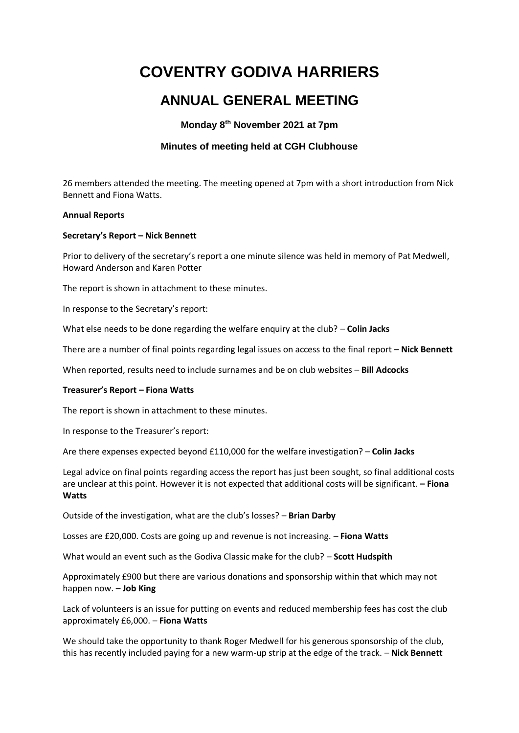# **COVENTRY GODIVA HARRIERS**

# **ANNUAL GENERAL MEETING**

# **Monday 8 th November 2021 at 7pm**

# **Minutes of meeting held at CGH Clubhouse**

26 members attended the meeting. The meeting opened at 7pm with a short introduction from Nick Bennett and Fiona Watts.

#### **Annual Reports**

# **Secretary's Report – Nick Bennett**

Prior to delivery of the secretary's report a one minute silence was held in memory of Pat Medwell, Howard Anderson and Karen Potter

The report is shown in attachment to these minutes.

In response to the Secretary's report:

What else needs to be done regarding the welfare enquiry at the club? – **Colin Jacks**

There are a number of final points regarding legal issues on access to the final report – **Nick Bennett**

When reported, results need to include surnames and be on club websites – **Bill Adcocks**

# **Treasurer's Report – Fiona Watts**

The report is shown in attachment to these minutes.

In response to the Treasurer's report:

Are there expenses expected beyond £110,000 for the welfare investigation? – **Colin Jacks**

Legal advice on final points regarding access the report has just been sought, so final additional costs are unclear at this point. However it is not expected that additional costs will be significant. **– Fiona Watts**

Outside of the investigation, what are the club's losses? – **Brian Darby**

Losses are £20,000. Costs are going up and revenue is not increasing. – **Fiona Watts**

What would an event such as the Godiva Classic make for the club? – **Scott Hudspith**

Approximately £900 but there are various donations and sponsorship within that which may not happen now. – **Job King**

Lack of volunteers is an issue for putting on events and reduced membership fees has cost the club approximately £6,000. – **Fiona Watts**

We should take the opportunity to thank Roger Medwell for his generous sponsorship of the club, this has recently included paying for a new warm-up strip at the edge of the track. – **Nick Bennett**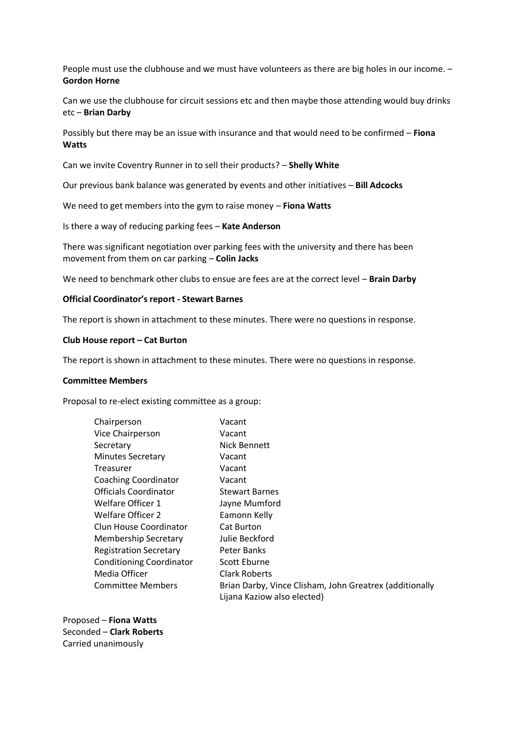People must use the clubhouse and we must have volunteers as there are big holes in our income. – **Gordon Horne**

Can we use the clubhouse for circuit sessions etc and then maybe those attending would buy drinks etc – **Brian Darby**

Possibly but there may be an issue with insurance and that would need to be confirmed – **Fiona Watts**

Can we invite Coventry Runner in to sell their products? – **Shelly White**

Our previous bank balance was generated by events and other initiatives – **Bill Adcocks**

We need to get members into the gym to raise money – **Fiona Watts**

Is there a way of reducing parking fees – **Kate Anderson**

There was significant negotiation over parking fees with the university and there has been movement from them on car parking – **Colin Jacks**

We need to benchmark other clubs to ensue are fees are at the correct level – **Brain Darby**

#### **Official Coordinator's report - Stewart Barnes**

The report is shown in attachment to these minutes. There were no questions in response.

# **Club House report – Cat Burton**

The report is shown in attachment to these minutes. There were no questions in response.

#### **Committee Members**

Proposal to re-elect existing committee as a group:

| Chairperson                     | Vacant                                                  |
|---------------------------------|---------------------------------------------------------|
| Vice Chairperson                | Vacant                                                  |
| Secretary                       | Nick Bennett                                            |
| <b>Minutes Secretary</b>        | Vacant                                                  |
| Treasurer                       | Vacant                                                  |
| <b>Coaching Coordinator</b>     | Vacant                                                  |
| <b>Officials Coordinator</b>    | <b>Stewart Barnes</b>                                   |
| Welfare Officer 1               | Jayne Mumford                                           |
| Welfare Officer 2               | Eamonn Kelly                                            |
| Clun House Coordinator          | <b>Cat Burton</b>                                       |
| Membership Secretary            | Julie Beckford                                          |
| <b>Registration Secretary</b>   | Peter Banks                                             |
| <b>Conditioning Coordinator</b> | Scott Eburne                                            |
| Media Officer                   | <b>Clark Roberts</b>                                    |
| <b>Committee Members</b>        | Brian Darby, Vince Clisham, John Greatrex (additionally |
|                                 | Lijana Kaziow also elected)                             |
|                                 |                                                         |

Proposed – **Fiona Watts** Seconded – **Clark Roberts** Carried unanimously